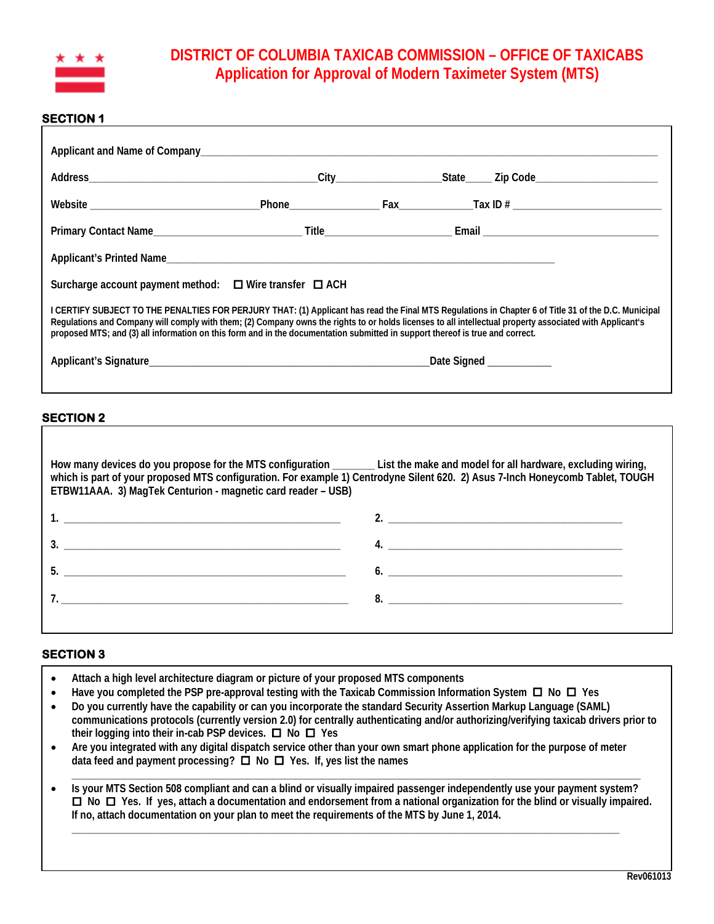

# **DISTRICT OF COLUMBIA TAXICAB COMMISSION – OFFICE OF TAXICABS Application for Approval of Modern Taximeter System (MTS)**

### **SECTION 1**

| Surcharge account payment method: $\Box$ Wire transfer $\Box$ ACH                                                                                                                                                                                                                                                                                                                                                                                 |  |  |  |  |
|---------------------------------------------------------------------------------------------------------------------------------------------------------------------------------------------------------------------------------------------------------------------------------------------------------------------------------------------------------------------------------------------------------------------------------------------------|--|--|--|--|
| I CERTIFY SUBJECT TO THE PENALTIES FOR PERJURY THAT: (1) Applicant has read the Final MTS Regulations in Chapter 6 of Title 31 of the D.C. Municipal<br>Regulations and Company will comply with them; (2) Company owns the rights to or holds licenses to all intellectual property associated with Applicant's<br>proposed MTS; and (3) all information on this form and in the documentation submitted in support thereof is true and correct. |  |  |  |  |
|                                                                                                                                                                                                                                                                                                                                                                                                                                                   |  |  |  |  |
|                                                                                                                                                                                                                                                                                                                                                                                                                                                   |  |  |  |  |

### **SECTION 2**

| How many devices do you propose for the MTS configuration _______ List the make and model for all hardware, excluding wiring,<br>which is part of your proposed MTS configuration. For example 1) Centrodyne Silent 620. 2) Asus 7-Inch Honeycomb Tablet, TOUGH<br>ETBW11AAA. 3) MagTek Centurion - magnetic card reader - USB) |               |  |
|---------------------------------------------------------------------------------------------------------------------------------------------------------------------------------------------------------------------------------------------------------------------------------------------------------------------------------|---------------|--|
|                                                                                                                                                                                                                                                                                                                                 |               |  |
| $\overline{\mathbf{3.}}$ $\overline{\mathbf{1.}}$                                                                                                                                                                                                                                                                               |               |  |
|                                                                                                                                                                                                                                                                                                                                 | $\mathbf{6.}$ |  |
|                                                                                                                                                                                                                                                                                                                                 |               |  |
|                                                                                                                                                                                                                                                                                                                                 |               |  |

# **SECTION 3**

- **Attach a high level architecture diagram or picture of your proposed MTS components**
- **Have you completed the PSP pre-approval testing with the Taxicab Commission Information System No Yes**
- **Do you currently have the capability or can you incorporate the standard Security Assertion Markup Language (SAML) communications protocols (currently version 2.0) for centrally authenticating and/or authorizing/verifying taxicab drivers prior to their logging into their in-cab PSP devices. □ No □ Yes**
- **Are you integrated with any digital dispatch service other than your own smart phone application for the purpose of meter data feed and payment processing? No Yes. If, yes list the names**
- **\_\_\_\_\_\_\_\_\_\_\_\_\_\_\_\_\_\_\_\_\_\_\_\_\_\_\_\_\_\_\_\_\_\_\_\_\_\_\_\_\_\_\_\_\_\_\_\_\_\_\_\_\_\_\_\_\_\_\_\_\_\_\_\_\_\_\_\_\_\_\_\_\_\_\_\_\_\_\_\_\_\_\_\_\_\_\_\_\_\_\_\_\_\_\_\_\_\_\_\_\_\_\_\_\_\_\_** • **Is your MTS Section 508 compliant and can a blind or visually impaired passenger independently use your payment system? No Yes. If yes, attach a documentation and endorsement from a national organization for the blind or visually impaired. If no, attach documentation on your plan to meet the requirements of the MTS by June 1, 2014.**

**\_\_\_\_\_\_\_\_\_\_\_\_\_\_\_\_\_\_\_\_\_\_\_\_\_\_\_\_\_\_\_\_\_\_\_\_\_\_\_\_\_\_\_\_\_\_\_\_\_\_\_\_\_\_\_\_\_\_\_\_\_\_\_\_\_\_\_\_\_\_\_\_\_\_\_\_\_\_\_\_\_\_\_\_\_\_\_\_\_\_\_\_\_\_\_\_\_\_\_\_\_\_\_**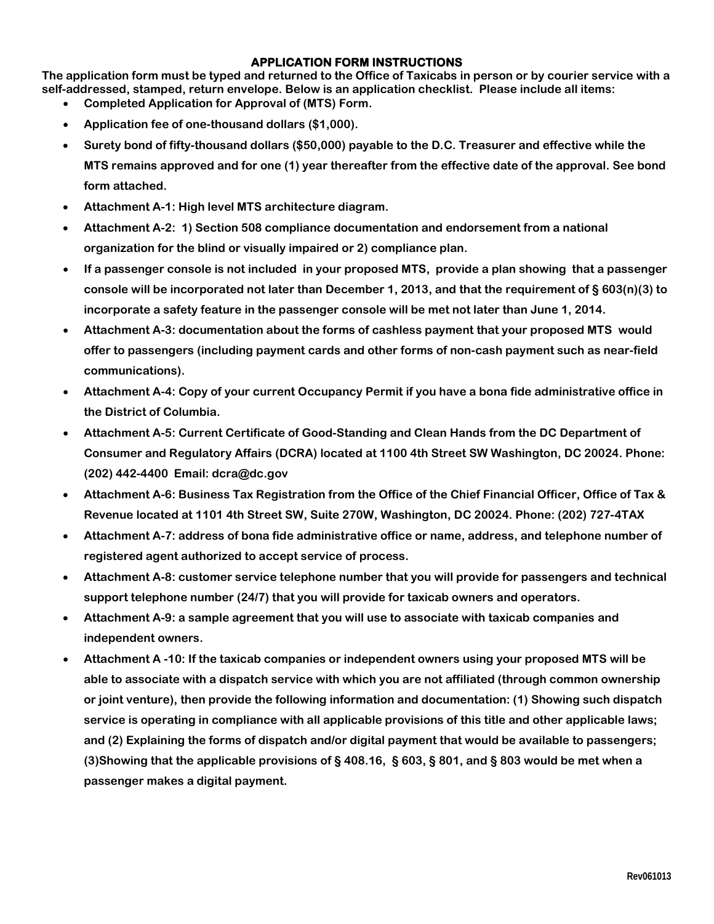## **APPLICATION FORM INSTRUCTIONS**

**The application form must be typed and returned to the Office of Taxicabs in person or by courier service with a self-addressed, stamped, return envelope. Below is an application checklist. Please include all items:**

- **Completed Application for Approval of (MTS) Form.**
- **Application fee of one-thousand dollars (\$1,000).**
- **Surety bond of fifty-thousand dollars (\$50,000) payable to the D.C. Treasurer and effective while the MTS remains approved and for one (1) year thereafter from the effective date of the approval. See bond form attached.**
- **Attachment A-1: High level MTS architecture diagram.**
- **Attachment A-2: 1) Section 508 compliance documentation and endorsement from a national organization for the blind or visually impaired or 2) compliance plan.**
- **If a passenger console is not included in your proposed MTS, provide a plan showing that a passenger console will be incorporated not later than December 1, 2013, and that the requirement of § 603(n)(3) to incorporate a safety feature in the passenger console will be met not later than June 1, 2014.**
- **Attachment A-3: documentation about the forms of cashless payment that your proposed MTS would offer to passengers (including payment cards and other forms of non-cash payment such as near-field communications).**
- **Attachment A-4: Copy of your current Occupancy Permit if you have a bona fide administrative office in the District of Columbia.**
- **Attachment A-5: Current Certificate of Good-Standing and Clean Hands from the DC Department of Consumer and Regulatory Affairs (DCRA) located at 1100 4th Street SW Washington, DC 20024. Phone: (202) 442-4400 Email: dcra@dc.gov**
- **Attachment A-6: Business Tax Registration from the Office of the Chief Financial Officer, Office of Tax & Revenue located at 1101 4th Street SW, Suite 270W, Washington, DC 20024. Phone: (202) 727-4TAX**
- **Attachment A-7: address of bona fide administrative office or name, address, and telephone number of registered agent authorized to accept service of process.**
- **Attachment A-8: customer service telephone number that you will provide for passengers and technical support telephone number (24/7) that you will provide for taxicab owners and operators.**
- **Attachment A-9: a sample agreement that you will use to associate with taxicab companies and independent owners.**
- **Attachment A -10: If the taxicab companies or independent owners using your proposed MTS will be able to associate with a dispatch service with which you are not affiliated (through common ownership or joint venture), then provide the following information and documentation: (1) Showing such dispatch service is operating in compliance with all applicable provisions of this title and other applicable laws; and (2) Explaining the forms of dispatch and/or digital payment that would be available to passengers; (3)Showing that the applicable provisions of § 408.16, § 603, § 801, and § 803 would be met when a passenger makes a digital payment.**